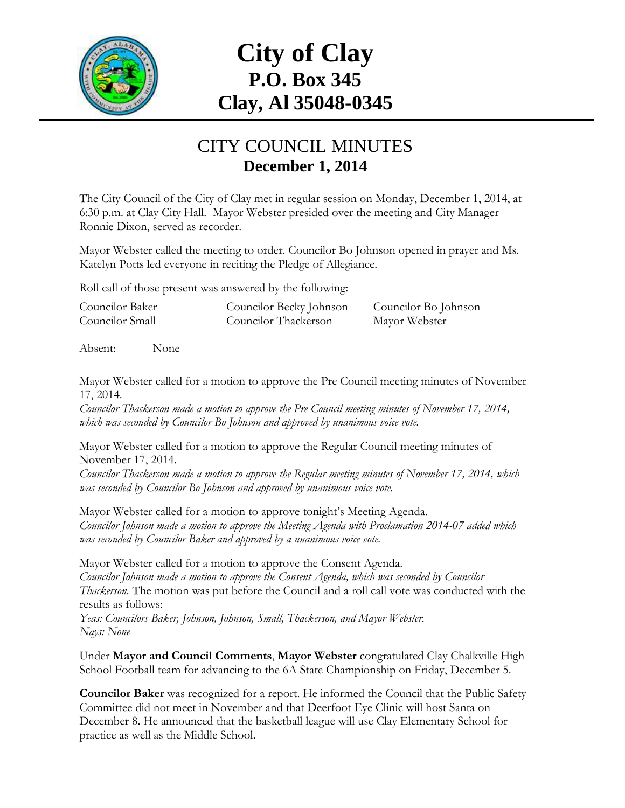

# **City of Clay P.O. Box 345 Clay, Al 35048-0345**

#### CITY COUNCIL MINUTES **December 1, 2014**

The City Council of the City of Clay met in regular session on Monday, December 1, 2014, at 6:30 p.m. at Clay City Hall. Mayor Webster presided over the meeting and City Manager Ronnie Dixon, served as recorder.

Mayor Webster called the meeting to order. Councilor Bo Johnson opened in prayer and Ms. Katelyn Potts led everyone in reciting the Pledge of Allegiance.

Roll call of those present was answered by the following:

| Councilor Baker | Councilor Becky Johnson | Councilor Bo Johnson |
|-----------------|-------------------------|----------------------|
| Councilor Small | Councilor Thackerson    | Mayor Webster        |

Absent: None

Mayor Webster called for a motion to approve the Pre Council meeting minutes of November 17, 2014.

*Councilor Thackerson made a motion to approve the Pre Council meeting minutes of November 17, 2014, which was seconded by Councilor Bo Johnson and approved by unanimous voice vote.*

Mayor Webster called for a motion to approve the Regular Council meeting minutes of November 17, 2014.

*Councilor Thackerson made a motion to approve the Regular meeting minutes of November 17, 2014, which was seconded by Councilor Bo Johnson and approved by unanimous voice vote.*

Mayor Webster called for a motion to approve tonight's Meeting Agenda. *Councilor Johnson made a motion to approve the Meeting Agenda with Proclamation 2014-07 added which was seconded by Councilor Baker and approved by a unanimous voice vote.*

Mayor Webster called for a motion to approve the Consent Agenda. *Councilor Johnson made a motion to approve the Consent Agenda, which was seconded by Councilor Thackerson.* The motion was put before the Council and a roll call vote was conducted with the results as follows:

*Yeas: Councilors Baker, Johnson, Johnson, Small, Thackerson, and Mayor Webster. Nays: None*

Under **Mayor and Council Comments**, **Mayor Webster** congratulated Clay Chalkville High School Football team for advancing to the 6A State Championship on Friday, December 5.

**Councilor Baker** was recognized for a report. He informed the Council that the Public Safety Committee did not meet in November and that Deerfoot Eye Clinic will host Santa on December 8. He announced that the basketball league will use Clay Elementary School for practice as well as the Middle School.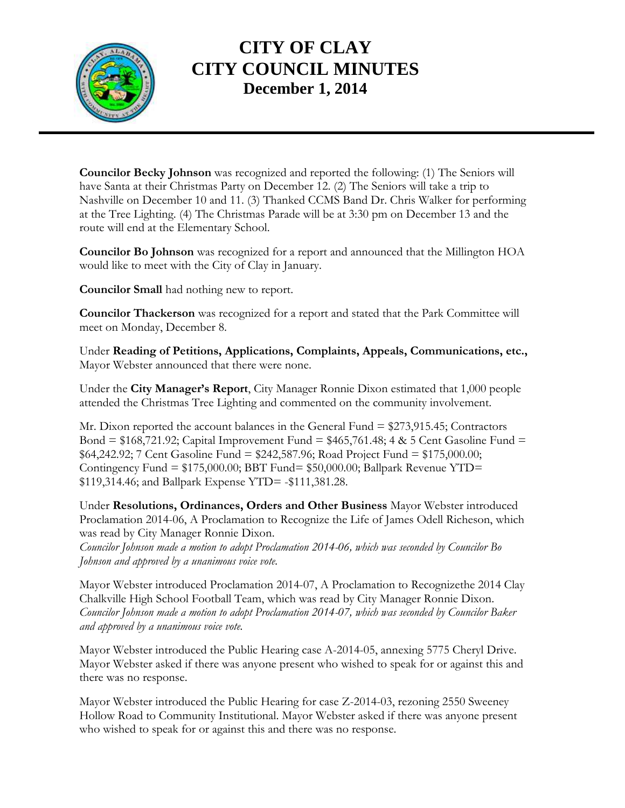

# **CITY OF CLAY CITY COUNCIL MINUTES December 1, 2014**

**Councilor Becky Johnson** was recognized and reported the following: (1) The Seniors will have Santa at their Christmas Party on December 12. (2) The Seniors will take a trip to Nashville on December 10 and 11. (3) Thanked CCMS Band Dr. Chris Walker for performing at the Tree Lighting. (4) The Christmas Parade will be at 3:30 pm on December 13 and the route will end at the Elementary School.

**Councilor Bo Johnson** was recognized for a report and announced that the Millington HOA would like to meet with the City of Clay in January.

**Councilor Small** had nothing new to report.

**Councilor Thackerson** was recognized for a report and stated that the Park Committee will meet on Monday, December 8.

Under **Reading of Petitions, Applications, Complaints, Appeals, Communications, etc.,** Mayor Webster announced that there were none.

Under the **City Manager's Report**, City Manager Ronnie Dixon estimated that 1,000 people attended the Christmas Tree Lighting and commented on the community involvement.

Mr. Dixon reported the account balances in the General Fund = \$273,915.45; Contractors Bond =  $$168,721.92$ ; Capital Improvement Fund =  $$465,761.48$ ; 4 & 5 Cent Gasoline Fund =  $$64,242.92$ ; 7 Cent Gasoline Fund =  $$242,587.96$ ; Road Project Fund =  $$175,000.00$ ; Contingency Fund  $= $175,000.00; BBT$  Fund $= $50,000.00; Ball$ park Revenue YTD $=$ \$119,314.46; and Ballpark Expense YTD= -\$111,381.28.

Under **Resolutions, Ordinances, Orders and Other Business** Mayor Webster introduced Proclamation 2014-06, A Proclamation to Recognize the Life of James Odell Richeson, which was read by City Manager Ronnie Dixon.

*Councilor Johnson made a motion to adopt Proclamation 2014-06, which was seconded by Councilor Bo Johnson and approved by a unanimous voice vote.*

Mayor Webster introduced Proclamation 2014-07, A Proclamation to Recognizethe 2014 Clay Chalkville High School Football Team, which was read by City Manager Ronnie Dixon. *Councilor Johnson made a motion to adopt Proclamation 2014-07, which was seconded by Councilor Baker and approved by a unanimous voice vote.*

Mayor Webster introduced the Public Hearing case A-2014-05, annexing 5775 Cheryl Drive. Mayor Webster asked if there was anyone present who wished to speak for or against this and there was no response.

Mayor Webster introduced the Public Hearing for case Z-2014-03, rezoning 2550 Sweeney Hollow Road to Community Institutional. Mayor Webster asked if there was anyone present who wished to speak for or against this and there was no response.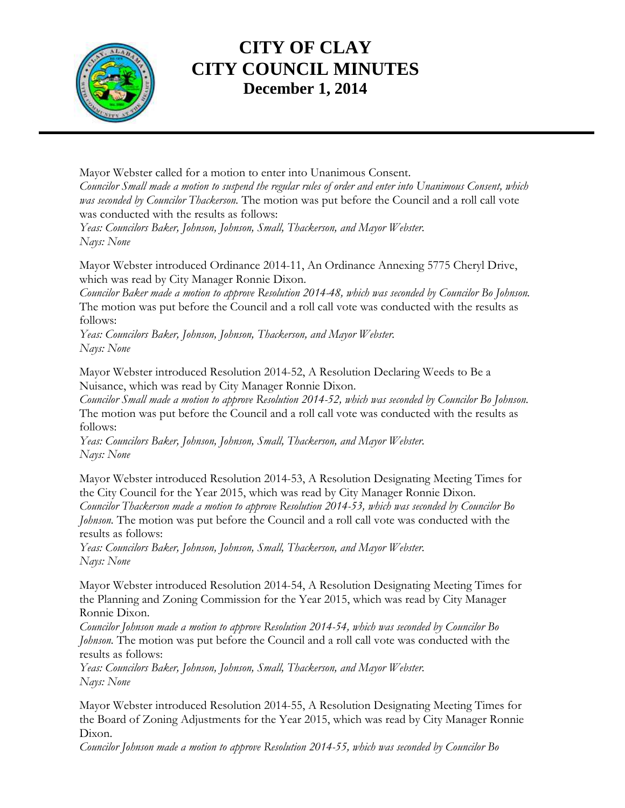

# **CITY OF CLAY CITY COUNCIL MINUTES December 1, 2014**

Mayor Webster called for a motion to enter into Unanimous Consent. *Councilor Small made a motion to suspend the regular rules of order and enter into Unanimous Consent, which was seconded by Councilor Thackerson.* The motion was put before the Council and a roll call vote was conducted with the results as follows:

*Yeas: Councilors Baker, Johnson, Johnson, Small, Thackerson, and Mayor Webster. Nays: None*

Mayor Webster introduced Ordinance 2014-11, An Ordinance Annexing 5775 Cheryl Drive, which was read by City Manager Ronnie Dixon.

*Councilor Baker made a motion to approve Resolution 2014-48, which was seconded by Councilor Bo Johnson.*  The motion was put before the Council and a roll call vote was conducted with the results as follows:

*Yeas: Councilors Baker, Johnson, Johnson, Thackerson, and Mayor Webster. Nays: None*

Mayor Webster introduced Resolution 2014-52, A Resolution Declaring Weeds to Be a Nuisance, which was read by City Manager Ronnie Dixon.

*Councilor Small made a motion to approve Resolution 2014-52, which was seconded by Councilor Bo Johnson.*  The motion was put before the Council and a roll call vote was conducted with the results as follows:

*Yeas: Councilors Baker, Johnson, Johnson, Small, Thackerson, and Mayor Webster. Nays: None*

Mayor Webster introduced Resolution 2014-53, A Resolution Designating Meeting Times for the City Council for the Year 2015, which was read by City Manager Ronnie Dixon. *Councilor Thackerson made a motion to approve Resolution 2014-53, which was seconded by Councilor Bo Johnson.* The motion was put before the Council and a roll call vote was conducted with the results as follows:

*Yeas: Councilors Baker, Johnson, Johnson, Small, Thackerson, and Mayor Webster. Nays: None*

Mayor Webster introduced Resolution 2014-54, A Resolution Designating Meeting Times for the Planning and Zoning Commission for the Year 2015, which was read by City Manager Ronnie Dixon.

*Councilor Johnson made a motion to approve Resolution 2014-54, which was seconded by Councilor Bo Johnson.* The motion was put before the Council and a roll call vote was conducted with the results as follows:

*Yeas: Councilors Baker, Johnson, Johnson, Small, Thackerson, and Mayor Webster. Nays: None*

Mayor Webster introduced Resolution 2014-55, A Resolution Designating Meeting Times for the Board of Zoning Adjustments for the Year 2015, which was read by City Manager Ronnie Dixon.

*Councilor Johnson made a motion to approve Resolution 2014-55, which was seconded by Councilor Bo*